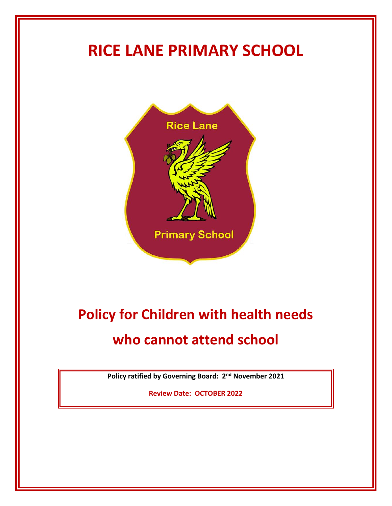# **RICE LANE PRIMARY SCHOOL**



## **Policy for Children with health needs**

## **who cannot attend school**

**Policy ratified by Governing Board: 2nd November 2021**

**Review Date: OCTOBER 2022**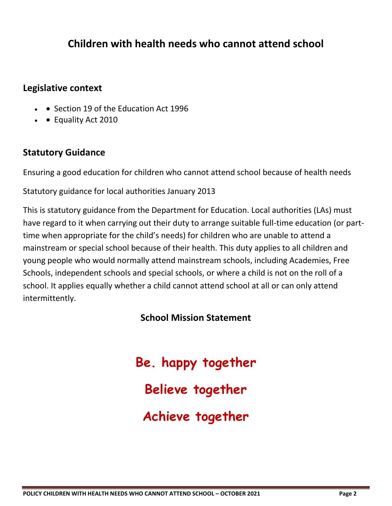## **Children with health needs who cannot attend school**

#### **Legislative context**

- • Section 19 of the Education Act 1996
- • Equality Act 2010

#### **Statutory Guidance**

Ensuring a good education for children who cannot attend school because of health needs

Statutory guidance for local authorities January 2013

This is statutory guidance from the Department for Education. Local authorities (LAs) must have regard to it when carrying out their duty to arrange suitable full-time education (or parttime when appropriate for the child's needs) for children who are unable to attend a mainstream or special school because of their health. This duty applies to all children and young people who would normally attend mainstream schools, including Academies, Free Schools, independent schools and special schools, or where a child is not on the roll of a school. It applies equally whether a child cannot attend school at all or can only attend intermittently.

## **School Mission Statement**

**Be. happy together Believe together Achieve together**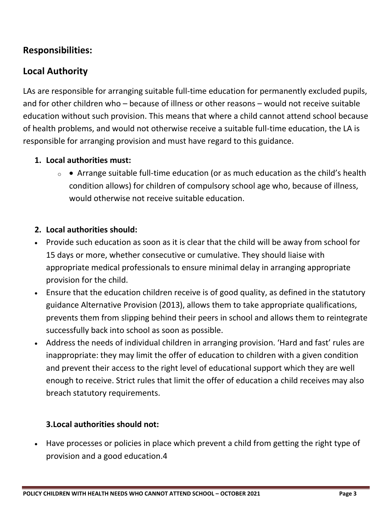## **Responsibilities:**

## **Local Authority**

LAs are responsible for arranging suitable full-time education for permanently excluded pupils, and for other children who – because of illness or other reasons – would not receive suitable education without such provision. This means that where a child cannot attend school because of health problems, and would not otherwise receive a suitable full-time education, the LA is responsible for arranging provision and must have regard to this guidance.

#### **1. Local authorities must:**

 $\circ$  • Arrange suitable full-time education (or as much education as the child's health condition allows) for children of compulsory school age who, because of illness, would otherwise not receive suitable education.

#### **2. Local authorities should:**

- Provide such education as soon as it is clear that the child will be away from school for 15 days or more, whether consecutive or cumulative. They should liaise with appropriate medical professionals to ensure minimal delay in arranging appropriate provision for the child.
- Ensure that the education children receive is of good quality, as defined in the statutory guidance Alternative Provision (2013), allows them to take appropriate qualifications, prevents them from slipping behind their peers in school and allows them to reintegrate successfully back into school as soon as possible.
- Address the needs of individual children in arranging provision. 'Hard and fast' rules are inappropriate: they may limit the offer of education to children with a given condition and prevent their access to the right level of educational support which they are well enough to receive. Strict rules that limit the offer of education a child receives may also breach statutory requirements.

#### **3.Local authorities should not:**

• Have processes or policies in place which prevent a child from getting the right type of provision and a good education.4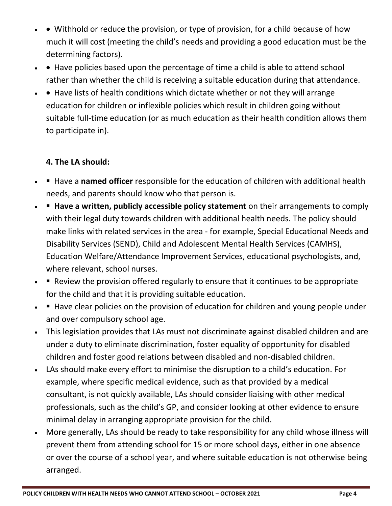- Withhold or reduce the provision, or type of provision, for a child because of how much it will cost (meeting the child's needs and providing a good education must be the determining factors).
- • Have policies based upon the percentage of time a child is able to attend school rather than whether the child is receiving a suitable education during that attendance.
- • Have lists of health conditions which dictate whether or not they will arrange education for children or inflexible policies which result in children going without suitable full-time education (or as much education as their health condition allows them to participate in).

#### **4. The LA should:**

- ▪ Have a **named officer** responsible for the education of children with additional health needs, and parents should know who that person is.
- **Have a written, publicly accessible policy statement** on their arrangements to comply with their legal duty towards children with additional health needs. The policy should make links with related services in the area - for example, Special Educational Needs and Disability Services (SEND), Child and Adolescent Mental Health Services (CAMHS), Education Welfare/Attendance Improvement Services, educational psychologists, and, where relevant, school nurses.
- **•** Review the provision offered regularly to ensure that it continues to be appropriate for the child and that it is providing suitable education.
- **■** Have clear policies on the provision of education for children and young people under and over compulsory school age.
- This legislation provides that LAs must not discriminate against disabled children and are under a duty to eliminate discrimination, foster equality of opportunity for disabled children and foster good relations between disabled and non-disabled children.
- LAs should make every effort to minimise the disruption to a child's education. For example, where specific medical evidence, such as that provided by a medical consultant, is not quickly available, LAs should consider liaising with other medical professionals, such as the child's GP, and consider looking at other evidence to ensure minimal delay in arranging appropriate provision for the child.
- More generally, LAs should be ready to take responsibility for any child whose illness will prevent them from attending school for 15 or more school days, either in one absence or over the course of a school year, and where suitable education is not otherwise being arranged.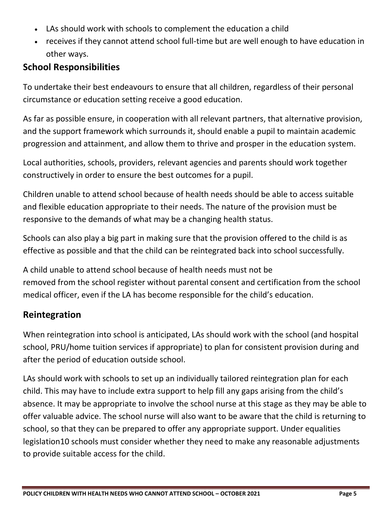- LAs should work with schools to complement the education a child
- receives if they cannot attend school full-time but are well enough to have education in other ways.

## **School Responsibilities**

To undertake their best endeavours to ensure that all children, regardless of their personal circumstance or education setting receive a good education.

As far as possible ensure, in cooperation with all relevant partners, that alternative provision, and the support framework which surrounds it, should enable a pupil to maintain academic progression and attainment, and allow them to thrive and prosper in the education system.

Local authorities, schools, providers, relevant agencies and parents should work together constructively in order to ensure the best outcomes for a pupil.

Children unable to attend school because of health needs should be able to access suitable and flexible education appropriate to their needs. The nature of the provision must be responsive to the demands of what may be a changing health status.

Schools can also play a big part in making sure that the provision offered to the child is as effective as possible and that the child can be reintegrated back into school successfully.

A child unable to attend school because of health needs must not be removed from the school register without parental consent and certification from the school medical officer, even if the LA has become responsible for the child's education.

## **Reintegration**

When reintegration into school is anticipated, LAs should work with the school (and hospital school, PRU/home tuition services if appropriate) to plan for consistent provision during and after the period of education outside school.

LAs should work with schools to set up an individually tailored reintegration plan for each child. This may have to include extra support to help fill any gaps arising from the child's absence. It may be appropriate to involve the school nurse at this stage as they may be able to offer valuable advice. The school nurse will also want to be aware that the child is returning to school, so that they can be prepared to offer any appropriate support. Under equalities legislation10 schools must consider whether they need to make any reasonable adjustments to provide suitable access for the child.